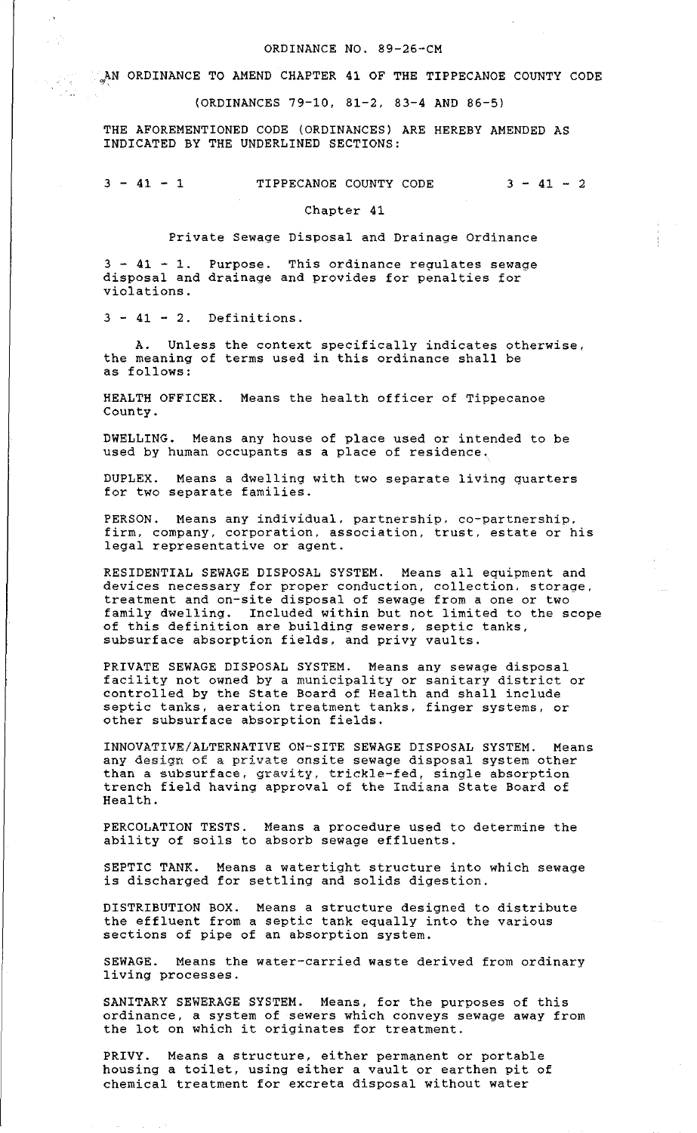## ORDINANCE NO. 89-26-CM

CAN ORDINANCE TO AMEND CHAPTER 41 OF THE TIPPECANOE COUNTY CODE

(ORDINANCES 79-10, 81-2, 83-4 AND 86-5)

THE AFOREMENTIONED CODE (ORDINANCES) ARE HEREBY AMENDED AS INDICATED BY THE UNDERLINED SECTIONS:

 $3 - 41 - 1$  TIPPECANOE COUNTY CODE  $3 - 41 - 2$ 

Chapter 41

Private Sewage Disposal and Drainage Ordinance

 $3 - 41 - 1$ . Purpose. This ordinance regulates sewage disposal and drainage and provides for penalties for violations.

 $3 - 41 - 2$ . Definitions.

 $\mathbb{R}^{2}$  $\frac{1}{2}$  ,  $\frac{1}{2}$ 

Unless the context specifically indicates otherwise, the meaning of terms used in this ordinance shall be as follows:

HEALTH OFFICER. Means the health officer of Tippecanoe County.

DWELLING. Means any house of place used or intended to be used by human occupants as a place of residence.

DUPLEX. Means a dwelling with two separate living quarters for two separate families.

PERSON. Means any individual, partnership. co-partnership, firm, company, corporation, association, trust, estate or his legal representative or agent.

RESIDENTIAL SEWAGE DISPOSAL SYSTEM. Means all equipment and devices necessary for proper conduction, collection. storage, treatment and on-site disposal of sewage from a one or two family dwelling. Included within but not limited to the scope of this definition are building sewers, septic tanks, subsurface absorption fields, and privy vaults.

PRIVATE SEWAGE DISPOSAL SYSTEM. Means any sewage disposal facility not owned by a municipality or sanitary district or controlled by the State Board of Health and shall include septic tanks, aeration treatment tanks, finger systems, or other subsurface absorption fields.

INNOVATIVE/ALTERNATIVE ON-SITE SEWAGE DISPOSAL SYSTEM. Means any design of a private onsite sewage disposal system other than a subsurface, gravity, trickle-fed, single absorption trench field having approval of the Indiana State Board of Health.

PERCOLATION TESTS. Means a procedure used to determine the ability of soils to absorb sewage effluents.

SEPTIC TANK. Means a watertight structure into which sewage is discharged for settling and solids digestion.

DISTRIBUTION BOX. Means a structure designed to distribute the effluent from a septic tank equally into the various sections of pipe of an absorption system.

SEWAGE. Means the water-carried waste derived from ordinary living processes.

SANITARY SEWERAGE SYSTEM. Means, for the purposes of this ordinance, a system of sewers which conveys sewage away from the lot on which it originates for treatment.

PRIVY. Means a structure, either permanent or portable housing a toilet, using either a vault or earthen pit of chemical treatment for excreta disposal without water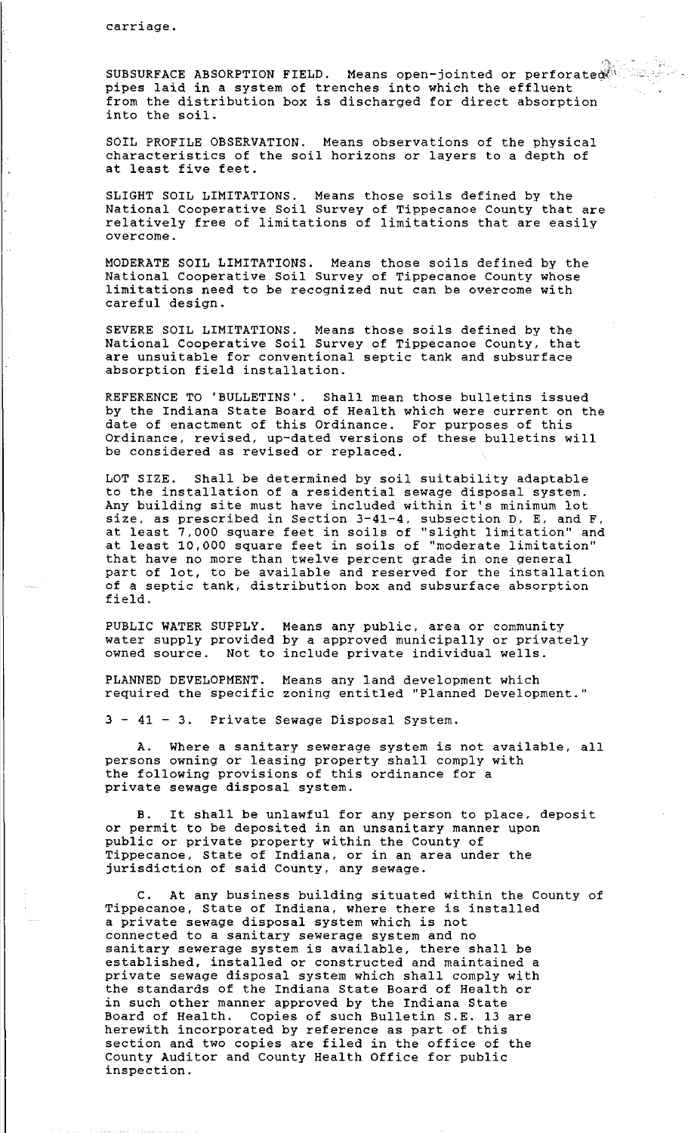$\bar{\mathcal{A}}$ 

SUBSURFACE ABSORPTION FIELD. Means open-jointed or perforate pipes laid in a system of trenches into which the effluent from the distribution box is discharged for direct absorption into the soil.

SOIL PROFILE OBSERVATION. Means observations of the physical characteristics of the soil horizons or layers to a depth of at least five feet.

SLIGHT SOIL LIMITATIONS. Means those soils defined by the National Cooperative Soil Survey of Tippecanoe County that are relatively free of limitations of limitations that are easily overcome.

MODERATE SOIL LIMITATIONS. Means those soils defined by the National Cooperative Soil Survey of Tippecanoe County whose limitations need to be recognized nut can be overcome with careful design.

SEVERE SOIL LIMITATIONS. Means those soils defined by the National Cooperative Soil Survey of Tippecanoe County, that are unsuitable for conventional septic tank and subsurface absorption field installation.

REFERENCE TO 'BULLETINS'. Shall mean those bulletins issued by the Indiana State Board of Health which were current on the date of enactment of this Ordinance. For purposes of this Ordinance, revised, up-dated versions of these bulletins will be considered as revised or replaced.

LOT SIZE. Shall be determined by soil suitability adaptable to the installation of a residential sewage disposal system. Any building site must have included within it's minimum lot size, as prescribed in Section 3-41-4, subsection D, E, and F, at least 7,000 square feet in soils of "slight limitation" and at least 10,000 square feet in soils of "moderate limitation" that have no more than twelve percent grade in one general part of lot, to be available and reserved for the installation of a septic tank, distribution box and subsurface absorption field.

PUBLIC WATER SUPPLY. water supply provided owned source. Not to include private individual wells. Means any public, area or community by a approved municipally or privately

PLANNED DEVELOPMENT. Means any land development which required the specific zoning entitled "Planned Development.''

3 - 41 - 3. Private Sewage Disposal System.

A. Where a sanitary sewerage system is not available, all persons owning or leasing property shall comply with the following provisions of this ordinance for a private sewage disposal system.

It shall be unlawful for any person to place, deposit or permit to be deposited in an unsanitary manner upon public or private property within the county of Tippecanoe, State of Indiana, or in an area under the jurisdiction of said County, any sewage.

C. At any business building situated within the County of Tippecanoe, State of Indiana, where there is installed a private sewage disposal system which is not connected to a sanitary sewerage system and no sanitary sewerage system is available, there shall be established, installed or constructed and maintained a private sewage disposal system which shall comply with the standards of the Indiana State Board of Health or in such other manner approved by the Indiana State Board of Health. Copies of such Bulletin S.E. 13 are herewith incorporated by reference as part of this section and two copies are filed in the office of the County Auditor and County Health Office for public inspection.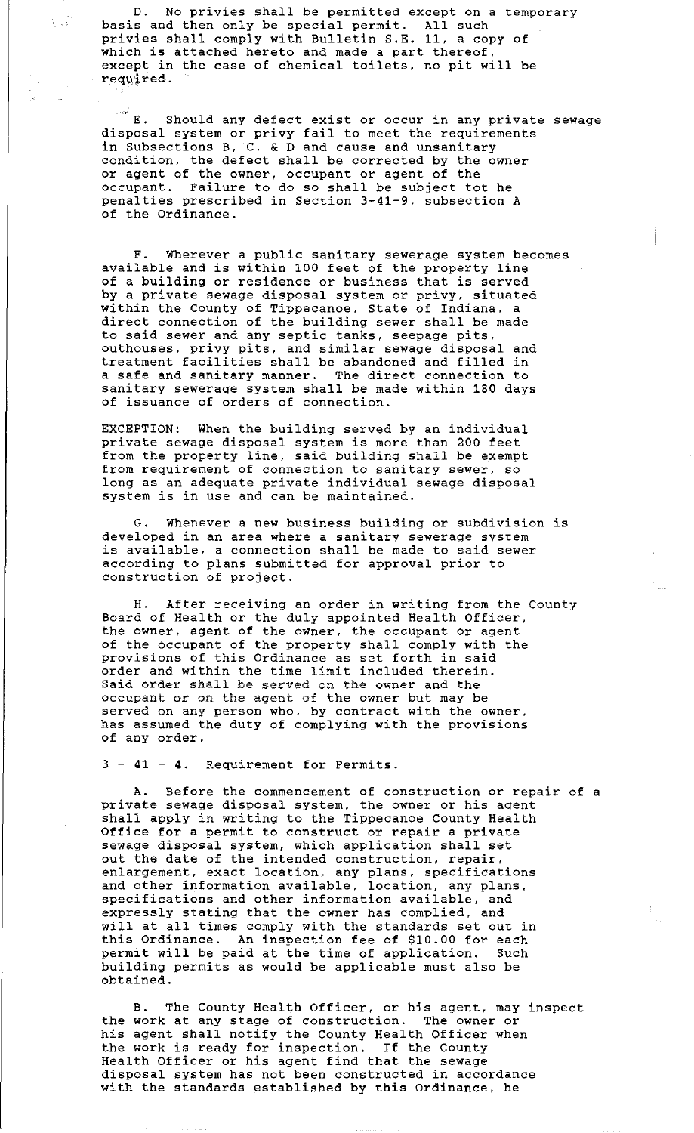D. No privies shall be permitted except on a temporary basis and then only be special permit. All such privies shall comply with Bulletin S.E. 11, a copy of which is attached hereto and made a part thereof, except in the case of chemical toilets, no pit will be reqqired.

 $\frac{1}{2}$ 

 $\mathbb{R}^d$  E. Should any defect exist or occur in any private sewage disposal system or privy fail to meet the requirements in Subsections B, C, & D and cause and unsanitary condition, the defect shall be corrected by the owner or agent of the owner, occupant or agent of the occupant. Failure to do so shall be subject tot he penalties prescribed in Section 3-41-9, subsection A of the Ordinance.

F. Wherever a public sanitary sewerage system becomes available and is within 100 feet of the property line of a building or residence or business that is served by a private sewage disposal system or privy, situated within the County of Tippecanoe, State of Indiana. a direct connection of the building sewer shall be made to said sewer and any septic tanks, seepage pits, outhouses, privy pits, and similar sewage disposal and treatment facilities shall be abandoned and filled in a safe and sanitary manner. The direct connection to sanitary sewerage system shall be made within 180 days of issuance of orders of connection.

EXCEPTION: When the building served by an individual private sewage disposal system is more than 200 feet from the property line, said building shall be exempt from requirement of connection to sanitary sewer, so long as an adequate private individual sewage disposal system is in use and can be maintained.

G. Whenever a new business building or subdivision is developed in an area where a sanitary sewerage system is available, a connection shall be made to said sewer according to plans submitted for approval prior to construction of project.

H. After receiving an order in writing from the County Board of Health or the duly appointed Health Officer, the owner, agent of the owner, the occupant or agent of the occupant of the property shall comply with the provisions of this Ordinance as set forth in said order and within the time limit included therein. Said order shall be served on the owner and the occupant or on the agent of the owner but may be served on any person who, by contract with the owner, has assumed the duty of complying with the provisions of any order.

3 - 41 - 4. Requirement for Permits.

A. Before the commencement of construction or repair of a private sewage disposal system, the owner or his agent shall apply in writing to the Tippecanoe County Health Office for a permit to construct or repair a private sewage disposal system, which application shall set out the date of the intended construction, repair, ent the ance of the ancenate constraction, specifications and other information available, location, any plans, specifications and other information available, and expressly stating that the owner has complied, and expressif seating that the smile has compiled, and will at all times comply with the standards set out in this Ordinance. An inspection fee of \$10.00 for each permit will be paid at the time of application. Such building permits as would be applicable must also be obtained.

B. The County Health Officer, or his agent, may inspect the work at any stage of construction. The owner or his agent shall notify the County Health Officer when the work is ready for inspection. If the County Health Officer or his agent find that the sewage disposal system has not been constructed in accordance with the standards established by this Ordinance. he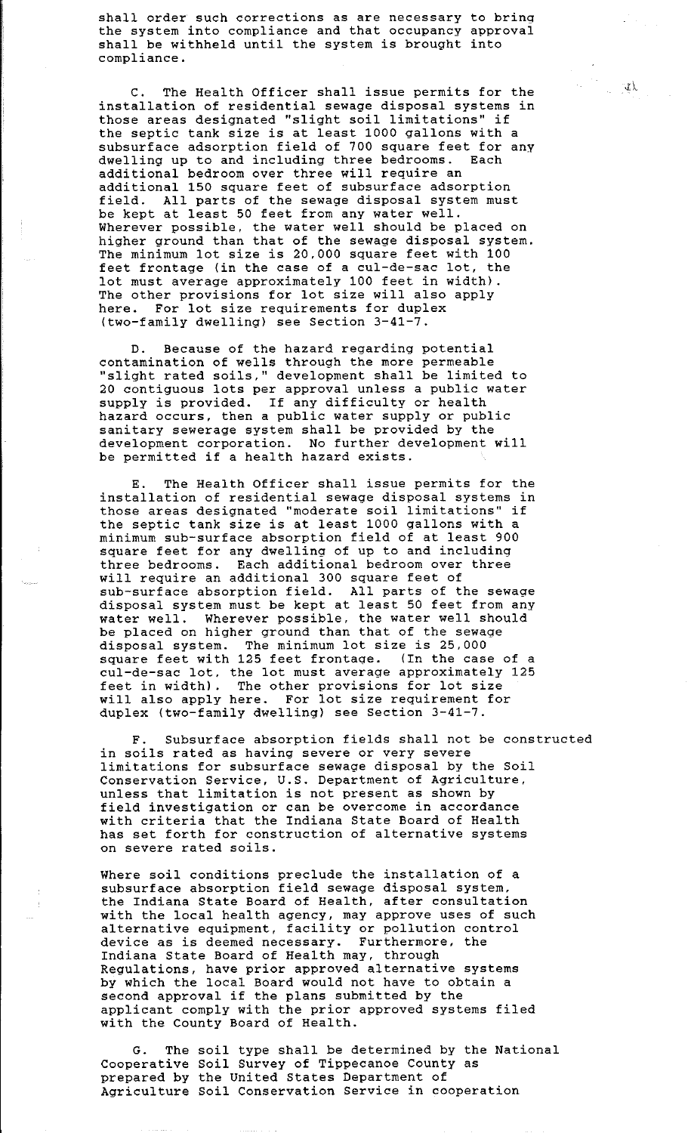shall order such corrections as are necessary to bring the system into compliance and that occupancy approval shall be withheld until the system is brought into compliance.

C. The Health Officer shall issue permits for the installation of residential sewage disposal systems in those areas designated "slight soil limitations" if the septic tank size is at least 1000 gallons with a subsurface adsorption field of 700 square feet for any dwelling up to and including three bedrooms. Each additional bedroom over three will require an additional 150 square feet of subsurface adsorption field. All parts of the sewage disposal system must be kept at least 50 feet from any water well. Wherever possible, the water well should be placed on higher ground than that of the sewage disposal system. The minimum lot size is 20,000 square feet with 100 feet frontage (in the case of a cul-de-sac lot, the lot must average approximately 100 feet in width). The other provisions for lot size will also apply here. For lot size requirements for duplex (two-family dwelling) see Section 3-41-7.

D. Because of the hazard regarding potential contamination of wells through the more permeable "slight rated soils," development shall be limited to 20 contiguous lots per approval unless a public water supply is provided. If any difficulty or health hazard occurs, then a public water supply or public sanitary sewerage system shall be provided by the development corporation. No further development will be permitted if a health hazard exists.

E. The Health Officer shall issue permits for the installation of residential sewage disposal systems in those areas designated "moderate soil limitations" if the septic tank size is at least 1000 gallons with a minimum sub-surface absorption field of at least 900 square feet for any dwelling of up to and including three bedrooms. Each additional bedroom over three will require an additional 300 square feet of sub-surface absorption field. All parts of the sewage disposal system must be kept at least 50 feet from any water well. Wherever possible, the water well should be placed on higher ground than that of the sewage disposal system. The minimum lot size is 25,000 square feet with 125 feet frontage. (In the case of a square reed with 123 reed frontage. The the ease of a ear as sas foot one for mass average approximately will also apply here. For lot size requirement for duplex (two-family dwelling) see Section 3-41-7.

F. Subsurface absorption fields shall not be constructed in soils rated as having severe or very severe limitations for subsurface sewage disposal by the Soil Conservation Service, U.S. Department of Agriculture, unless that limitation is not present as shown by directly that included in the problem with shown  $\frac{1}{2}$ <br>field investigation or can be overcome in accordance with criteria that the Indiana State Board of Health has set forth for construction of alternative systems on severe rated soils.

Where soil conditions preclude the installation of a subsurface absorption field sewage disposal system, the Indiana State Board of Health, after consultation with the local health agency, may approve uses of such alternative equipment, facility or pollution control device as is deemed necessary. Furthermore, the Indiana State Board of Health may, through Regulations, have prior approved alternative systems by which the local Board would not have to obtain a by which the local board would hot have to observe the applicant comply with the prior approved systems filed with the County Board of Health.

G. The soil type shall be determined by the National Cooperative Soil Survey of Tippecanoe County as prepared by the United States Department of Agriculture Soil Conservation Service in cooperation

, i.e.  $\mathcal{L}$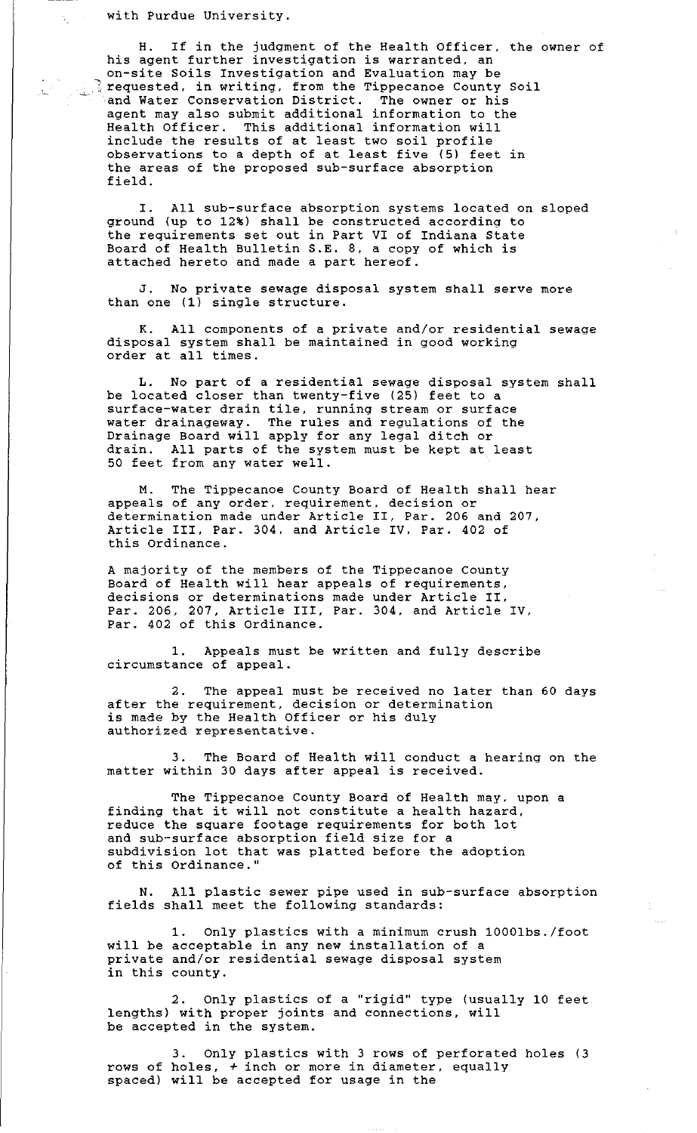with Purdue University.

H. If in the judgment of the Health Officer, the owner of his agent further investigation is warranted, an on-site Soils Investigation and Evaluation may be on Sico Soris investigation and Ivariation may be provided. In writing, from the Tippecanoe County Soil and Water Conservation District. The owner or his agent may also submit additional information to the Health Officer. This additional information will include the results of at least two soil profile observations to a depth of at least five (5) feet in the areas of the proposed sub-surface absorption field.

I. All sub-surface absorption systems located on sloped ground (up to 12%) shall be constructed according to the requirements set out in Part VI of Indiana State Board of Health Bulletin S.E. 8, a copy of which is attached hereto and made a part hereof.

J. No private sewage disposal system shall serve more than one (1) single structure.

K. All components of a private and/or residential sewage disposal system shall be maintained in good working order at all times.

L. No part of a residential sewage disposal system shall be located closer than twenty-five (25) feet to a surface-water drain tile, running stream or surface water drainageway. The rules and regulations of the Drainage Board will apply for any legal ditch or drain. All parts of the system must be kept at least 50 feet from any water well.

M. The Tippecanoe County Board of Health shall hear appeals of any order. requirement, decision or determination made under Article II, Par. 206 and 207, Article III, Par. 304, and Article IV. Par. 402 of this Ordinance.

A majority of the members of the Tippecanoe County Board of Health will hear appeals of requirements, decisions or determinations made under Article II. Par. 206, 207, Article III, Par. 304, and Article IV. Par. 402 of this Ordinance.

1. Appeals must be written and fully describe circumstance of appeal.

2. The appeal must be received no later than 60 days after the requirement, decision or determination after the requirement, decision of determ.<br>is made by the Health Officer or his duly authorized representative.

3. The Board of Health will conduct a hearing on the matter within 30 days after appeal is received.

The Tippecanoe County Board of Health may, upon a finding that it will not constitute a health hazard, reduce the square footage requirements for both lot and sub-surface absorption field size for a subdivision lot that was platted before the adoption of this Ordinance.''

N. All plastic sewer pipe used in sub-surface absorption fields shall meet the following standards:

1. Only plastics with a minimum crush 1000lbs./foot will be acceptable in any new installation of a private and/or residential sewage disposal system in this county.

2. Only plastics of a "rigid" type (usually 10 feet lengths) with proper joints and connections, will be accepted in the system.

3. Only plastics with 3 rows of perforated holes (3 rows of holes, +inch or more in diameter, equally spaced) will be accepted for usage in the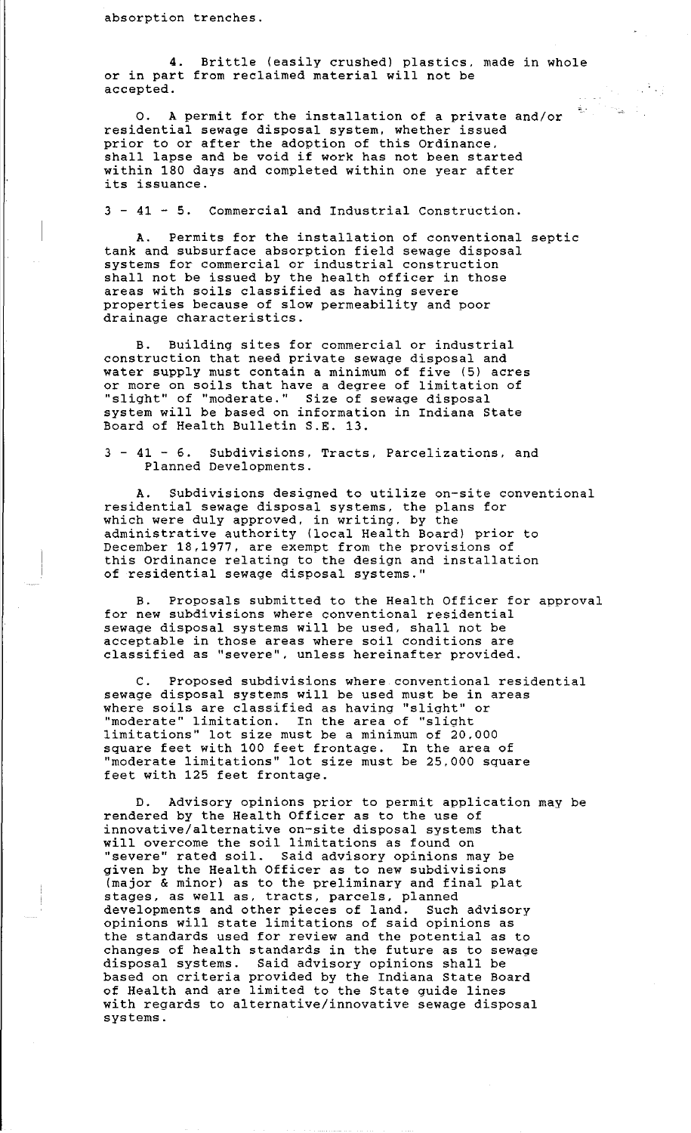absorption trenches.

4. Brittle (easily crushed) plastics, made in whole or in part from reclaimed material will not be accepted.

 $\sim 10^{11}$ 

 $\mathbf{R}_{\mathrm{eff}}$  .

0. A permit for the installation of a private and/or residential sewage disposal system, whether issued prior to or after the adoption of this Ordinance. prior to or arter the adoption or this ordinance, within 180 days and completed within one year after its issuance.

3 - 41 - 5. Commercial and Industrial Construction.

A. Permits for the installation of conventional septic tank and subsurface absorption field sewage disposal systems for commercial or industrial construction shall not be issued by the health officer in those areas with soils classified as having severe properties because of slow permeability and poor drainage characteristics.

B. Building sites for commercial or industrial construction that need private sewage disposal and water supply must contain a minimum of five (5) acres or more on soils that have a degree of limitation of "slight" of "moderate." Size of sewage disposal system will be based on information in Indiana State Board of Health Bulletin S.E. 13.

3 - 41 - 6. Subdivisions, Tracts, Parcelizations, and Planned Developments.

A. Subdivisions designed to utilize on-site conventional residential sewage disposal systems, the plans for which were duly approved, in writing. by the administrative authority (local Health Board) prior to December 18,1977, are exempt from the provisions of this Ordinance relating to the design and installation of residential sewage disposal systems.''

B. Proposals submitted to the Health Officer for approval for new subdivisions where conventional residential sewage disposal systems will be used, shall not be acceptable in those areas where soil conditions are classified as "severe". unless hereinafter provided.

C. Proposed subdivisions where conventional residential sewage disposal systems will be used must be in areas where soils are classified as having "slight" or "moderate" limitation. In the area of ''slight limitations" lot size must be a minimum of 20.000 square feet with 100 feet frontage. In the area of "moderate limitations" lot size must be 25,000 square feet with 125 feet frontage.

D. Advisory opinions prior to permit application may be rendered by the Health Officer as to the use of innovative/alternative on-site disposal systems that will overcome the soil limitations as found on "severe" rated soil. Said advisory opinions may be given by the Health Officer as to new subdivisions (major & minor) as to the preliminary and final plat stages, as well as, tracts, parcels, planned developments and other pieces of land. Such advisory opinions will state limitations of said opinions as the standards used for review and the potential as to changes of health standards in the future as to sewage disposal systems. Said advisory opinions shall be based on criteria provided by the Indiana State Board of Health and are limited to the State guide lines with regards to alternative/innovative sewage disposal systems.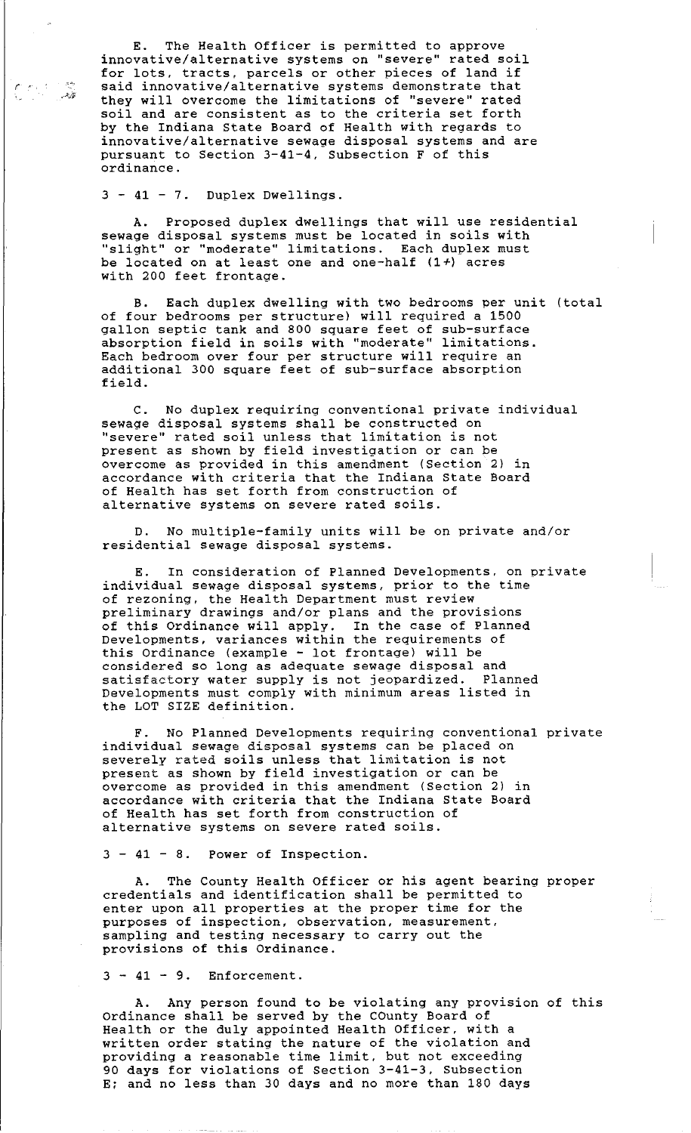E. The Health Officer is permitted to approve innovative/alternative systems on "severe" rated soil for lots, tracts, parcels or other pieces of land if said innovative/alternative systems demonstrate that they will overcome the limitations of "severe'' rated soil and are consistent as to the criteria set forth by the Indiana State Board of Health with regards to innovative/alternative sewage disposal systems and are pursuant to Section 3-41-4, Subsection F of this ordinance.

3 - 41 - 7. Duplex Dwellings.

 $\epsilon$  , and the  $\epsilon$ 

-'~7

A. Proposed duplex dwellings that will use residential sewage disposal systems must be located in soils with ''slight" or "moderate'' limitations. Each duplex must be located on at least one and one-half (1+) acres with 200 feet frontage.

B. Each duplex dwelling with two bedrooms per unit (total of four bedrooms per structure) will required a 1500 gallon septic tank and 800 square feet of sub-surface absorption field in soils with "moderate" limitations. Each bedroom over four per structure will require an additional 300 square feet of sub-surface absorption field.

C. No duplex requiring conventional private individual sewage disposal systems shall be constructed on "severe'' rated soil unless that limitation is not present as shown by field investigation or can be overcome as provided in this amendment (Section 2) in accordance with criteria that the Indiana State Board of Health has set forth from construction of alternative systems on severe rated soils.

D. No multiple-family units will be on private and/or residential sewage disposal systems.

E. In consideration of Planned Developments, on private individual sewage disposal systems, prior to the time of rezoning, the Health Department must review preliminary drawings and/or plans and the provisions of this Ordinance will apply. In the case of Planned Developments, variances within the requirements of this Ordinance (example - lot frontage) will be considered so long as adequate sewage disposal and<br>satisfactory water supply is not jeopardized. Planned satisfactory water supply is not jeopardized. Planned Developments must comply with minimum areas listed in the LOT SIZE definition.

F. No Planned Developments requiring conventional private individual sewage disposal systems can be placed on severely rated soils unless that limitation is not present as shown by field investigation or can be overcome as provided in this amendment (Section 2) in accordance with criteria that the Indiana State Board of Health has set forth from construction of alternative systems on severe rated soils.

3 - 41 - 8. Power of Inspection.

The County Health Officer or his agent bearing proper credentials and identification shall be permitted to enter upon all properties at the proper time for the purposes of inspection, observation, measurement, sampling and testing necessary to carry out the provisions of this Ordinance.

 $3 - 41 - 9$ . Enforcement.

A. Any person found to be violating any provision of this Ordinance shall be served by the county Board of Health or the duly appointed Health Officer, with a written order stating the nature of the violation and providing a reasonable time limit, but not exceeding 90 days for violations of Section 3-41-3, Subsection E; and no less than 30 days and no more than 180 days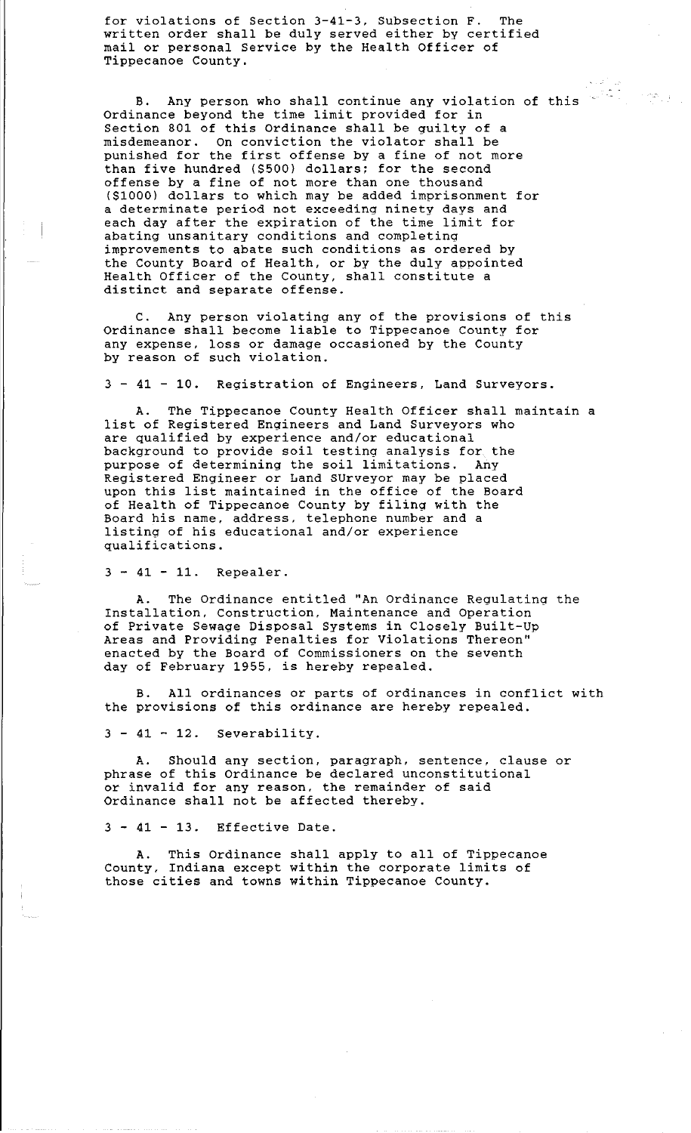for violations of Section 3-41-3, Subsection F. The written order shall be duly served either by certified mail or personal Service by the Health Officer of Tippecanoe County.

B. Any person who shall continue any violation of this Ordinance beyond the time limit provided for in Section 801 of this Ordinance shall be guilty of a misdemeanor. On conviction the violator shall be punished for the first offense by a fine of not more than five hundred (\$500) dollars; for the second offense by a fine of not more than one thousand (\$1000) dollars to which may be added imprisonment for a determinate period not exceeding ninety days and each day after the expiration of the time limit for abating unsanitary conditions and completing improvements to abate such conditions as ordered by the County Board of Health, or by the duly appointed Health Officer of the County, shall constitute a distinct and separate offense.

 $\label{eq:2} \frac{\partial \mathcal{D}_{\mathcal{A}}}{\partial \mathcal{D}_{\mathcal{A}}}\left( \mathcal{D}_{\mathcal{A}}\right)$ 

Any person violating any of the provisions of this Ordinance shall become liable to Tippecanoe County for any expense, loss or damage occasioned by the County by reason of such violation.

3 - 41 - 10. Registration of Engineers, Land Surveyors.

A. The Tippecanoe County Health Officer shall maintain a list of Registered Engineers and Land Surveyors who are qualified by experience and/or educational are quarriest by emperience and or consideration. The background to provide soil testing analysis for the purpose of determining the soil limitations. Any .<br>Registered Engineer or Land SUrveyor may be placed upon this list maintained in the office of the Board of Health of Tippecanoe County by filing with the Board his name, address, telephone number and a listing of his educational and/or experience qualifications.

3 - 41 - 11. Repealer.

The Ordinance entitled "An Ordinance Regulating the Installation, Construction, Maintenance and Operation of Private Sewage Disposal Systems in Closely Built-Up Areas and Providing Penalties for Violations Thereon" enacted by the Board of Commissioners on the seventh day of February 1955, is hereby repealed.

B. All ordinances or parts of ordinances in conflict with the provisions of this ordinance are hereby repealed.

 $3 - 41 - 12$ . Severability.

Should any section, paragraph, sentence, clause or phrase of this Ordinance be declared unconstitutional or invalid for any reason, the remainder of said Ordinance shall not be affected thereby.

3 - 41 - 13. Effective Date.

A. This Ordinance shall apply to all of Tippecanoe County, Indiana except within the corporate limits of those cities and towns within Tippecanoe County.